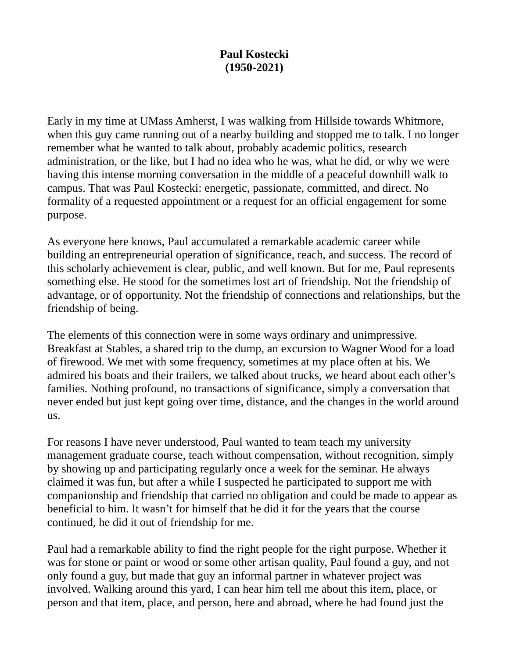## **Paul Kostecki (1950-2021)**

Early in my time at UMass Amherst, I was walking from Hillside towards Whitmore, when this guy came running out of a nearby building and stopped me to talk. I no longer remember what he wanted to talk about, probably academic politics, research administration, or the like, but I had no idea who he was, what he did, or why we were having this intense morning conversation in the middle of a peaceful downhill walk to campus. That was Paul Kostecki: energetic, passionate, committed, and direct. No formality of a requested appointment or a request for an official engagement for some purpose.

As everyone here knows, Paul accumulated a remarkable academic career while building an entrepreneurial operation of significance, reach, and success. The record of this scholarly achievement is clear, public, and well known. But for me, Paul represents something else. He stood for the sometimes lost art of friendship. Not the friendship of advantage, or of opportunity. Not the friendship of connections and relationships, but the friendship of being.

The elements of this connection were in some ways ordinary and unimpressive. Breakfast at Stables, a shared trip to the dump, an excursion to Wagner Wood for a load of firewood. We met with some frequency, sometimes at my place often at his. We admired his boats and their trailers, we talked about trucks, we heard about each other's families. Nothing profound, no transactions of significance, simply a conversation that never ended but just kept going over time, distance, and the changes in the world around us.

For reasons I have never understood, Paul wanted to team teach my university management graduate course, teach without compensation, without recognition, simply by showing up and participating regularly once a week for the seminar. He always claimed it was fun, but after a while I suspected he participated to support me with companionship and friendship that carried no obligation and could be made to appear as beneficial to him. It wasn't for himself that he did it for the years that the course continued, he did it out of friendship for me.

Paul had a remarkable ability to find the right people for the right purpose. Whether it was for stone or paint or wood or some other artisan quality, Paul found a guy, and not only found a guy, but made that guy an informal partner in whatever project was involved. Walking around this yard, I can hear him tell me about this item, place, or person and that item, place, and person, here and abroad, where he had found just the